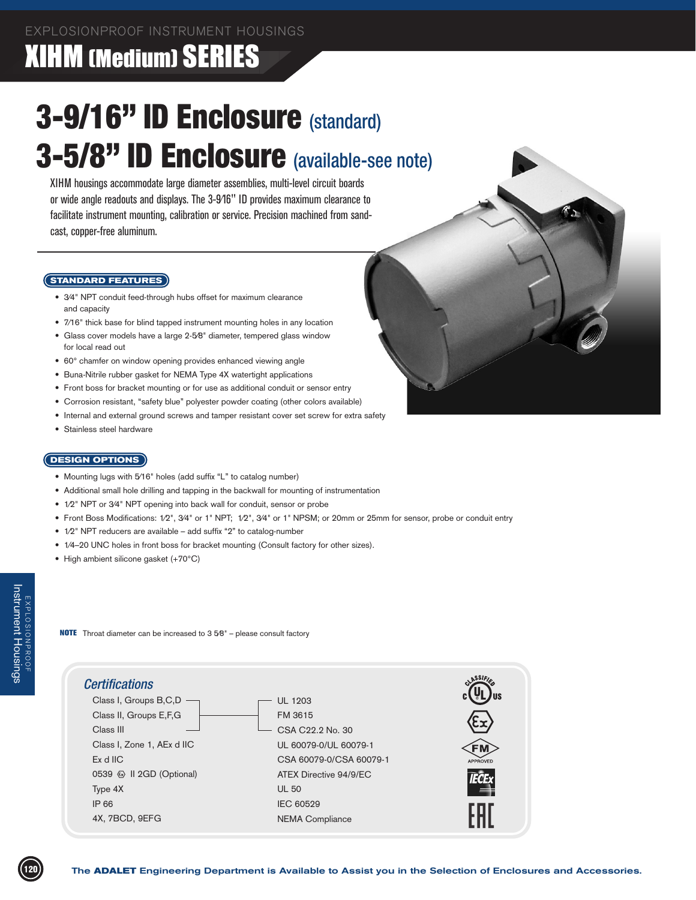### XIHM (Medium) SERIES

# 3-9/16" ID Enclosure (standard) 3-5/8" ID Enclosure (available-see note)

XIHM housings accommodate large diameter assemblies, multi-level circuit boards or wide angle readouts and displays. The 3-9⁄16" ID provides maximum clearance to facilitate instrument mounting, calibration or service. Precision machined from sandcast, copper-free aluminum.

#### **STANDARD FEATURES**

- 3/4" NPT conduit feed-through hubs offset for maximum clearance and capacity
- 7/16" thick base for blind tapped instrument mounting holes in any location
- Glass cover models have a large 2-5⁄8" diameter, tempered glass window for local read out
- 60° chamfer on window opening provides enhanced viewing angle
- Buna-Nitrile rubber gasket for NEMA Type 4X watertight applications
- Front boss for bracket mounting or for use as additional conduit or sensor entry
- Corrosion resistant, "safety blue" polyester powder coating (other colors available)
- Internal and external ground screws and tamper resistant cover set screw for extra safety
- Stainless steel hardware

#### **DESIGN OPTIONS**

- Mounting lugs with 5⁄16" holes (add suffix "L" to catalog number)
- Additional small hole drilling and tapping in the backwall for mounting of instrumentation
- 1/2" NPT or 3/4" NPT opening into back wall for conduit, sensor or probe
- Front Boss Modifications: 1/2", 3/4" or 1" NPT; 1/2", 3/4" or 1" NPSM; or 20mm or 25mm for sensor, probe or conduit entry
- 1/2" NPT reducers are available add suffix "2" to catalog-number
- 1/4-20 UNC holes in front boss for bracket mounting (Consult factory for other sizes).
- High ambient silicone gasket (+70°C)

NOTE Throat diameter can be increased to 3 5⁄8" – please consult factory